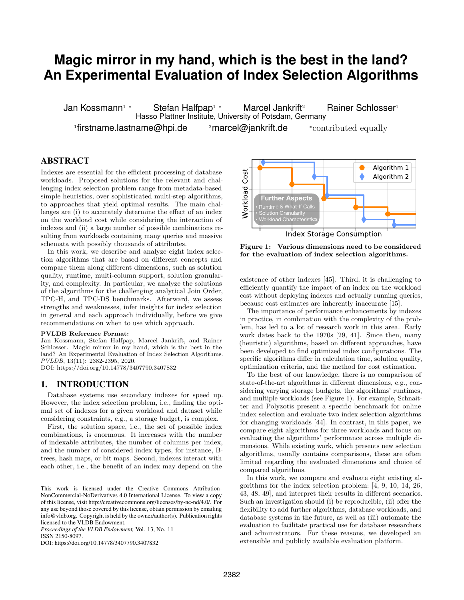# **Magic mirror in my hand, which is the best in the land? An Experimental Evaluation of Index Selection Algorithms**

Jan Kossmann<sup>1</sup> <sup>∗</sup> Stefan Halfpap<sup>1</sup> <sup>∗</sup> Marcel Jankrift<sup>2</sup> Rainer Schlosser<sup>1</sup> Hasso Plattner Institute, University of Potsdam, Germany  $1$ firstname.lastname@hpi.de  $2$ marcel@jankrift.de  $*$ contributed equally

## ABSTRACT

Indexes are essential for the efficient processing of database workloads. Proposed solutions for the relevant and challenging index selection problem range from metadata-based simple heuristics, over sophisticated multi-step algorithms, to approaches that yield optimal results. The main challenges are (i) to accurately determine the effect of an index on the workload cost while considering the interaction of indexes and (ii) a large number of possible combinations resulting from workloads containing many queries and massive schemata with possibly thousands of attributes.

In this work, we describe and analyze eight index selection algorithms that are based on different concepts and compare them along different dimensions, such as solution quality, runtime, multi-column support, solution granularity, and complexity. In particular, we analyze the solutions of the algorithms for the challenging analytical Join Order, TPC-H, and TPC-DS benchmarks. Afterward, we assess strengths and weaknesses, infer insights for index selection in general and each approach individually, before we give recommendations on when to use which approach.

#### PVLDB Reference Format:

Jan Kossmann, Stefan Halfpap, Marcel Jankrift, and Rainer Schlosser. Magic mirror in my hand, which is the best in the land? An Experimental Evaluation of Index Selection Algorithms. PVLDB, 13(11): 2382-2395, 2020.

DOI: https://doi.org/10.14778/3407790.3407832

#### 1. INTRODUCTION

Database systems use secondary indexes for speed up. However, the index selection problem, i.e., finding the optimal set of indexes for a given workload and dataset while considering constraints, e.g., a storage budget, is complex.

First, the solution space, i.e., the set of possible index combinations, is enormous. It increases with the number of indexable attributes, the number of columns per index, and the number of considered index types, for instance, Btrees, hash maps, or bit maps. Second, indexes interact with each other, i.e., the benefit of an index may depend on the

*Proceedings of the VLDB Endowment,* Vol. 13, No. 11 ISSN 2150-8097.

DOI: https://doi.org/10.14778/3407790.3407832

Algorithm 1 Cost Algorithm 2 Workload **Further Aspects** Runtime & What-If Calls • Solution Granularity Workload Characteristics **Index Storage Consumption** 

<span id="page-0-0"></span>Figure 1: Various dimensions need to be considered for the evaluation of index selection algorithms.

existence of other indexes [\[45\]](#page-13-0). Third, it is challenging to efficiently quantify the impact of an index on the workload cost without deploying indexes and actually running queries, because cost estimates are inherently inaccurate [\[15\]](#page-12-0).

The importance of performance enhancements by indexes in practice, in combination with the complexity of the problem, has led to a lot of research work in this area. Early work dates back to the 1970s [\[29,](#page-12-1) [41\]](#page-13-1). Since then, many (heuristic) algorithms, based on different approaches, have been developed to find optimized index configurations. The specific algorithms differ in calculation time, solution quality, optimization criteria, and the method for cost estimation.

To the best of our knowledge, there is no comparison of state-of-the-art algorithms in different dimensions, e.g., considering varying storage budgets, the algorithms' runtimes, and multiple workloads (see Figure [1\)](#page-0-0). For example, Schnaitter and Polyzotis present a specific benchmark for online index selection and evaluate two index selection algorithms for changing workloads [\[44\]](#page-13-2). In contrast, in this paper, we compare eight algorithms for three workloads and focus on evaluating the algorithms' performance across multiple dimensions. While existing work, which presents new selection algorithms, usually contains comparisons, these are often limited regarding the evaluated dimensions and choice of compared algorithms.

In this work, we compare and evaluate eight existing algorithms for the index selection problem: [\[4,](#page-12-2) [9,](#page-12-3) [10,](#page-12-4) [14,](#page-12-5) [26,](#page-12-6) [43,](#page-13-3) [48,](#page-13-4) [49\]](#page-13-5), and interpret their results in different scenarios. Such an investigation should (i) be reproducible, (ii) offer the flexibility to add further algorithms, database workloads, and database systems in the future, as well as (iii) automate the evaluation to facilitate practical use for database researchers and administrators. For these reasons, we developed an extensible and publicly available evaluation platform.

This work is licensed under the Creative Commons Attribution-NonCommercial-NoDerivatives 4.0 International License. To view a copy of this license, visit http://creativecommons.org/licenses/by-nc-nd/4.0/. For any use beyond those covered by this license, obtain permission by emailing info@vldb.org. Copyright is held by the owner/author(s). Publication rights licensed to the VLDB Endowment.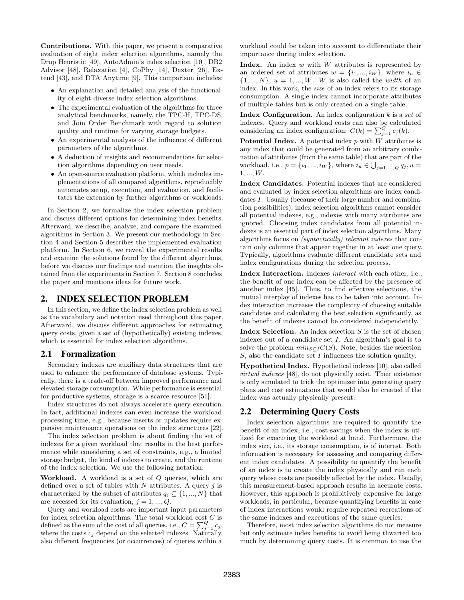Contributions. With this paper, we present a comparative evaluation of eight index selection algorithms, namely the Drop Heuristic [\[49\]](#page-13-5), AutoAdmin's index selection [\[10\]](#page-12-4), DB2 Advisor [\[48\]](#page-13-4), Relaxation [\[4\]](#page-12-2), CoPhy [\[14\]](#page-12-5), Dexter [\[26\]](#page-12-6), Extend [\[43\]](#page-13-3), and DTA Anytime [\[9\]](#page-12-3). This comparison includes:

- An explanation and detailed analysis of the functionality of eight diverse index selection algorithms.
- The experimental evaluation of the algorithms for three analytical benchmarks, namely, the TPC-H, TPC-DS, and Join Order Benchmark with regard to solution quality and runtime for varying storage budgets.
- An experimental analysis of the influence of different parameters of the algorithms.
- A deduction of insights and recommendations for selection algorithms depending on user needs.
- An open-source evaluation platform, which includes implementations of all compared algorithms, reproducibly automates setup, execution, and evaluation, and facilitates the extension by further algorithms or workloads.

In Section [2,](#page-1-0) we formalize the index selection problem and discuss different options for determining index benefits. Afterward, we describe, analyze, and compare the examined algorithms in Section [3.](#page-2-0) We present our methodology in Section [4](#page-5-0) and Section [5](#page-6-0) describes the implemented evaluation platform. In Section [6,](#page-7-0) we reveal the experimental results and examine the solutions found by the different algorithms, before we discuss our findings and mention the insights obtained from the experiments in Section [7.](#page-10-0) Section [8](#page-11-0) concludes the paper and mentions ideas for future work.

#### <span id="page-1-0"></span>2. INDEX SELECTION PROBLEM

In this section, we define the index selection problem as well as the vocabulary and notation used throughout this paper. Afterward, we discuss different approaches for estimating query costs, given a set of (hypothetically) existing indexes, which is essential for index selection algorithms.

#### 2.1 Formalization

Secondary indexes are auxiliary data structures that are used to enhance the performance of database systems. Typically, there is a trade-off between improved performance and elevated storage consumption. While performance is essential for productive systems, storage is a scarce resource [\[51\]](#page-13-6).

Index structures do not always accelerate query execution. In fact, additional indexes can even increase the workload processing time, e.g., because inserts or updates require expensive maintenance operations on the index structures [\[22\]](#page-12-7).

The index selection problem is about finding the set of indexes for a given workload that results in the best performance while considering a set of constraints, e.g., a limited storage budget, the kind of indexes to create, and the runtime of the index selection. We use the following notation:

Workload. A workload is a set of Q queries, which are defined over a set of tables with  $N$  attributes. A query  $j$  is characterized by the subset of attributes  $q_j \subseteq \{1, ..., N\}$  that are accessed for its evaluation,  $j = 1, ..., Q$ .

Query and workload costs are important input parameters for index selection algorithms. The total workload cost  $C$  is defined as the sum of the cost of all queries, i.e.,  $C = \sum_{j=1}^{Q} c_j$ , where the costs  $c_j$  depend on the selected indexes. Naturally, also different frequencies (or occurrences) of queries within a

workload could be taken into account to differentiate their importance during index selection.

Index. An index  $w$  with  $W$  attributes is represented by an ordered set of attributes  $w = \{i_1, ..., i_W\}$ , where  $i_u \in$  $\{1, ..., N\}, u = 1, ..., W$ . W is also called the *width* of an index. In this work, the size of an index refers to its storage consumption. A single index cannot incorporate attributes of multiple tables but is only created on a single table.

**Index Configuration.** An index configuration  $k$  is a set of indexes. Query and workload costs can also be calculated considering an index configuration:  $C(k) = \sum_{j=1}^{Q} c_j(k)$ .

Potential Index. A potential index  $p$  with  $W$  attributes is any index that could be generated from an arbitrary combination of attributes (from the same table) that are part of the workload, i.e.,  $p = \{i_1, ..., i_W\}$ , where  $i_u \in \bigcup_{j=1,...,Q} q_j$ ,  $u =$  $1, ..., W$ .

Index Candidates. Potential indexes that are considered and evaluated by index selection algorithms are index candidates I. Usually (because of their large number and combination possibilities), index selection algorithms cannot consider all potential indexes, e.g., indexes with many attributes are ignored. Choosing index candidates from all potential indexes is an essential part of index selection algorithms. Many algorithms focus on (syntactically) relevant indexes that contain only columns that appear together in at least one query. Typically, algorithms evaluate different candidate sets and index configurations during the selection process.

Index Interaction. Indexes interact with each other, i.e., the benefit of one index can be affected by the presence of another index [\[45\]](#page-13-0). Thus, to find effective selections, the mutual interplay of indexes has to be taken into account. Index interaction increases the complexity of choosing suitable candidates and calculating the best selection significantly, as the benefit of indexes cannot be considered independently.

Index Selection. An index selection  $S$  is the set of chosen indexes out of a candidate set  $I$ . An algorithm's goal is to solve the problem  $min_{S\subset I}C(S)$ . Note, besides the selection S, also the candidate set I influences the solution quality.

Hypothetical Index. Hypothetical indexes [\[10\]](#page-12-4), also called virtual indexes [\[48\]](#page-13-4), do not physically exist. Their existence is only simulated to trick the optimizer into generating query plans and cost estimations that would also be created if the index was actually physically present.

#### <span id="page-1-1"></span>2.2 Determining Query Costs

Index selection algorithms are required to quantify the benefit of an index, i.e., cost-savings when the index is utilized for executing the workload at hand. Furthermore, the index size, i.e., its storage consumption, is of interest. Both information is necessary for assessing and comparing different index candidates. A possibility to quantify the benefit of an index is to create the index physically and run each query whose costs are possibly affected by the index. Usually, this measurement-based approach results in accurate costs. However, this approach is prohibitively expensive for large workloads, in particular, because quantifying benefits in case of index interactions would require repeated recreations of the same indexes and executions of the same queries.

Therefore, most index selection algorithms do not measure but only estimate index benefits to avoid being thwarted too much by determining query costs. It is common to use the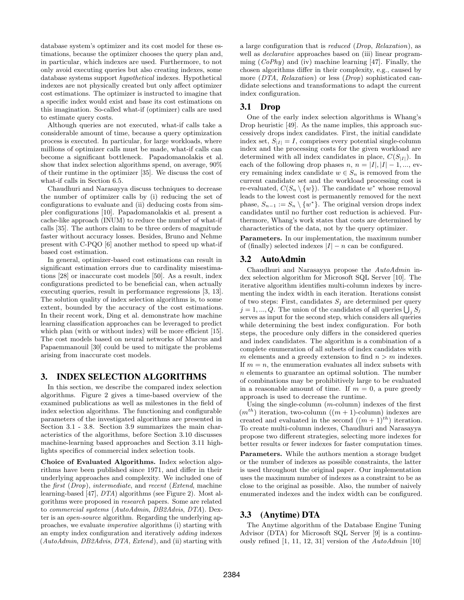database system's optimizer and its cost model for these estimations, because the optimizer chooses the query plan and, in particular, which indexes are used. Furthermore, to not only avoid executing queries but also creating indexes, some database systems support hypothetical indexes. Hypothetical indexes are not physically created but only affect optimizer cost estimations. The optimizer is instructed to imagine that a specific index would exist and base its cost estimations on this imagination. So-called what-if (optimizer) calls are used to estimate query costs.

Although queries are not executed, what-if calls take a considerable amount of time, because a query optimization process is executed. In particular, for large workloads, where millions of optimizer calls must be made, what-if calls can become a significant bottleneck. Papadomanolakis et al. show that index selection algorithms spend, on average, 90% of their runtime in the optimizer [\[35\]](#page-13-7). We discuss the cost of what-if calls in Section [6.5.](#page-9-0)

Chaudhuri and Narasayya discuss techniques to decrease the number of optimizer calls by (i) reducing the set of configurations to evaluate and (ii) deducing costs from simpler configurations [\[10\]](#page-12-4). Papadomanolakis et al. present a cache-like approach (INUM) to reduce the number of what-if calls [\[35\]](#page-13-7). The authors claim to be three orders of magnitude faster without accuracy losses. Besides, Bruno and Nehme present with C-PQO [\[6\]](#page-12-8) another method to speed up what-if based cost estimation.

In general, optimizer-based cost estimations can result in significant estimation errors due to cardinality misestimations [\[28\]](#page-12-9) or inaccurate cost models [\[50\]](#page-13-8). As a result, index configurations predicted to be beneficial can, when actually executing queries, result in performance regressions [\[3,](#page-12-10) [13\]](#page-12-11). The solution quality of index selection algorithms is, to some extent, bounded by the accuracy of the cost estimations. In their recent work, Ding et al. demonstrate how machine learning classification approaches can be leveraged to predict which plan (with or without index) will be more efficient [\[15\]](#page-12-0). The cost models based on neural networks of Marcus and Papaemmanouil [\[30\]](#page-13-9) could be used to mitigate the problems arising from inaccurate cost models.

#### <span id="page-2-0"></span>3. INDEX SELECTION ALGORITHMS

In this section, we describe the compared index selection algorithms. Figure [2](#page-3-0) gives a time-based overview of the examined publications as well as milestones in the field of index selection algorithms. The functioning and configurable parameters of the investigated algorithms are presented in Section [3.1](#page-2-1) - [3.8.](#page-4-0) Section [3.9](#page-4-1) summarizes the main characteristics of the algorithms, before Section [3.10](#page-4-2) discusses machine-learning based approaches and Section [3.11](#page-5-1) highlights specifics of commercial index selection tools.

Choice of Evaluated Algorithms. Index selection algorithms have been published since 1971, and differ in their underlying approaches and complexity. We included one of the first (Drop), intermediate, and recent (Extend, machine learning-based [\[47\]](#page-13-10), DTA) algorithms (see Figure [2\)](#page-3-0). Most algorithms were proposed in research papers. Some are related to commercial systems (AutoAdmin, DB2Advis, DTA). Dexter is an open-source algorithm. Regarding the underlying approaches, we evaluate imperative algorithms (i) starting with an empty index configuration and iteratively adding indexes  $(AutoAdmin, DB2Advis, DTA, Extend),$  and (ii) starting with

a large configuration that is reduced (Drop, Relaxation), as well as *declarative* approaches based on (iii) linear programming  $(CoPhy)$  and (iv) machine learning [\[47\]](#page-13-10). Finally, the chosen algorithms differ in their complexity, e.g., caused by more (DTA, Relaxation) or less (Drop) sophisticated candidate selections and transformations to adapt the current index configuration.

#### <span id="page-2-1"></span>3.1 Drop

One of the early index selection algorithms is Whang's Drop heuristic [\[49\]](#page-13-5). As the name implies, this approach successively drops index candidates. First, the initial candidate index set,  $S_{|I|} = I$ , comprises every potential single-column index and the processing costs for the given workload are determined with all index candidates in place,  $C(S_{|I|})$ . In each of the following drop phases  $n, n = |I|, |I| - 1, \dots$ , every remaining index candidate  $w \in S_n$  is removed from the current candidate set and the workload processing cost is re-evaluated,  $C(S_n \setminus \{w\})$ . The candidate w<sup>\*</sup> whose removal leads to the lowest cost is permanently removed for the next phase,  $S_{n-1} := S_n \setminus \{w^*\}$ . The original version drops index candidates until no further cost reduction is achieved. Furthermore, Whang's work states that costs are determined by characteristics of the data, not by the query optimizer.

Parameters. In our implementation, the maximum number of (finally) selected indexes  $|I| - n$  can be configured.

#### <span id="page-2-2"></span>3.2 AutoAdmin

Chaudhuri and Narasayya propose the AutoAdmin index selection algorithm for Microsoft SQL Server [\[10\]](#page-12-4). The iterative algorithm identifies multi-column indexes by incrementing the index width in each iteration. Iterations consist of two steps: First, candidates  $S_i$  are determined per query  $j = 1, ..., Q$ . The union of the candidates of all queries  $\bigcup_j S_j$ serves as input for the second step, which considers all queries while determining the best index configuration. For both steps, the procedure only differs in the considered queries and index candidates. The algorithm is a combination of a complete enumeration of all subsets of index candidates with m elements and a greedy extension to find  $n > m$  indexes. If  $m = n$ , the enumeration evaluates all index subsets with n elements to guarantee an optimal solution. The number of combinations may be prohibitively large to be evaluated in a reasonable amount of time. If  $m = 0$ , a pure greedy approach is used to decrease the runtime.

Using the single-column  $(m\text{-column})$  indexes of the first  $(m^{th})$  iteration, two-column  $((m + 1)$ -column) indexes are created and evaluated in the second  $((m + 1)^{th})$  iteration. To create multi-column indexes, Chaudhuri and Narasayya propose two different strategies, selecting more indexes for better results or fewer indexes for faster computation times.

Parameters. While the authors mention a storage budget or the number of indexes as possible constraints, the latter is used throughout the original paper. Our implementation uses the maximum number of indexes as a constraint to be as close to the original as possible. Also, the number of naively enumerated indexes and the index width can be configured.

#### 3.3 (Anytime) DTA

The Anytime algorithm of the Database Engine Tuning Advisor (DTA) for Microsoft SQL Server [\[9\]](#page-12-3) is a continuously refined  $[1, 11, 12, 31]$  $[1, 11, 12, 31]$  $[1, 11, 12, 31]$  $[1, 11, 12, 31]$  version of the  $Aut\alpha$ Admin  $[10]$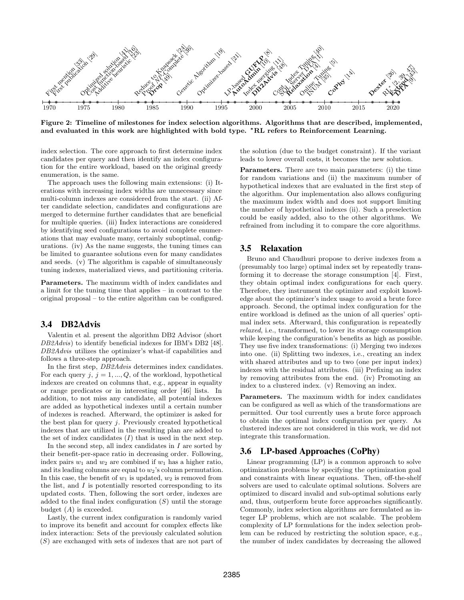

Figure 2: Timeline of milestones for index selection algorithms. Algorithms that are described, implemented, and evaluated in this work are highlighted with bold type. <sup>∗</sup>RL refers to Reinforcement Learning.

index selection. The core approach to first determine index candidates per query and then identify an index configuration for the entire workload, based on the original greedy enumeration, is the same.

The approach uses the following main extensions: (i) Iterations with increasing index widths are unnecessary since multi-column indexes are considered from the start. (ii) After candidate selection, candidates and configurations are merged to determine further candidates that are beneficial for multiple queries. (iii) Index interactions are considered by identifying seed configurations to avoid complete enumerations that may evaluate many, certainly suboptimal, configurations. (iv) As the name suggests, the tuning times can be limited to guarantee solutions even for many candidates and seeds. (v) The algorithm is capable of simultaneously tuning indexes, materialized views, and partitioning criteria.

Parameters. The maximum width of index candidates and a limit for the tuning time that applies – in contrast to the original proposal – to the entire algorithm can be configured.

## <span id="page-3-1"></span>3.4 DB2Advis

Valentin et al. present the algorithm DB2 Advisor (short DB2Advis) to identify beneficial indexes for IBM's DB2 [\[48\]](#page-13-4). DB2Advis utilizes the optimizer's what-if capabilities and follows a three-step approach.

In the first step, DB2Advis determines index candidates. For each query  $j, j = 1, ..., Q$ , of the workload, hypothetical indexes are created on columns that, e.g., appear in equality or range predicates or in interesting order [\[46\]](#page-13-16) lists. In addition, to not miss any candidate, all potential indexes are added as hypothetical indexes until a certain number of indexes is reached. Afterward, the optimizer is asked for the best plan for query  $i$ . Previously created hypothetical indexes that are utilized in the resulting plan are added to the set of index candidates  $(I)$  that is used in the next step.

In the second step, all index candidates in  $I$  are sorted by their benefit-per-space ratio in decreasing order. Following, index pairs  $w_1$  and  $w_2$  are combined if  $w_1$  has a higher ratio, and its leading columns are equal to  $w_2$ 's column permutation. In this case, the benefit of  $w_1$  is updated,  $w_2$  is removed from the list, and  $I$  is potentially resorted corresponding to its updated costs. Then, following the sort order, indexes are added to the final index configuration  $(S)$  until the storage budget  $(A)$  is exceeded.

Lastly, the current index configuration is randomly varied to improve its benefit and account for complex effects like index interaction: Sets of the previously calculated solution (S) are exchanged with sets of indexes that are not part of

<span id="page-3-0"></span>the solution (due to the budget constraint). If the variant leads to lower overall costs, it becomes the new solution.

Parameters. There are two main parameters: (i) the time for random variations and (ii) the maximum number of hypothetical indexes that are evaluated in the first step of the algorithm. Our implementation also allows configuring the maximum index width and does not support limiting the number of hypothetical indexes (ii). Such a preselection could be easily added, also to the other algorithms. We refrained from including it to compare the core algorithms.

#### <span id="page-3-2"></span>3.5 Relaxation

Bruno and Chaudhuri propose to derive indexes from a (presumably too large) optimal index set by repeatedly transforming it to decrease the storage consumption [\[4\]](#page-12-2). First, they obtain optimal index configurations for each query. Therefore, they instrument the optimizer and exploit knowledge about the optimizer's index usage to avoid a brute force approach. Second, the optimal index configuration for the entire workload is defined as the union of all queries' optimal index sets. Afterward, this configuration is repeatedly relaxed, i.e., transformed, to lower its storage consumption while keeping the configuration's benefits as high as possible. They use five index transformations: (i) Merging two indexes into one. (ii) Splitting two indexes, i.e., creating an index with shared attributes and up to two (one per input index) indexes with the residual attributes. (iii) Prefixing an index by removing attributes from the end. (iv) Promoting an index to a clustered index. (v) Removing an index.

Parameters. The maximum width for index candidates can be configured as well as which of the transformations are permitted. Our tool currently uses a brute force approach to obtain the optimal index configuration per query. As clustered indexes are not considered in this work, we did not integrate this transformation.

#### 3.6 LP-based Approaches (CoPhy)

Linear programming (LP) is a common approach to solve optimization problems by specifying the optimization goal and constraints with linear equations. Then, off-the-shelf solvers are used to calculate optimal solutions. Solvers are optimized to discard invalid and sub-optimal solutions early and, thus, outperform brute force approaches significantly. Commonly, index selection algorithms are formulated as integer LP problems, which are not scalable. The problem complexity of LP formulations for the index selection problem can be reduced by restricting the solution space, e.g., the number of index candidates by decreasing the allowed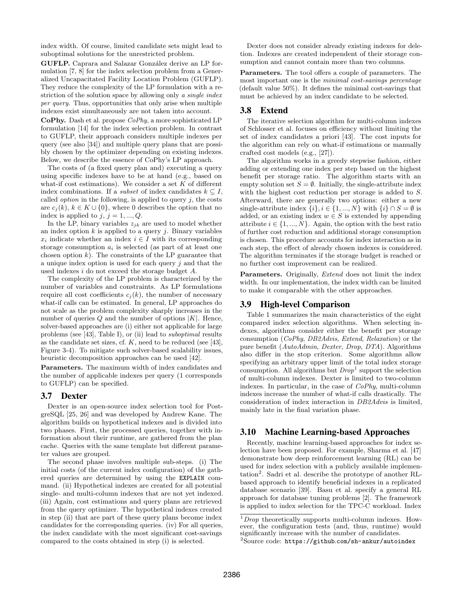index width. Of course, limited candidate sets might lead to suboptimal solutions for the unrestricted problem.

GUFLP. Caprara and Salazar González derive an LP formulation [\[7,](#page-12-23) [8\]](#page-12-20) for the index selection problem from a Generalized Uncapacitated Facility Location Problem (GUFLP). They reduce the complexity of the LP formulation with a restriction of the solution space by allowing only a single index per query. Thus, opportunities that only arise when multiple indexes exist simultaneously are not taken into account.

CoPhy. Dash et al. propose CoPhy, a more sophisticated LP formulation [\[14\]](#page-12-5) for the index selection problem. In contrast to GUFLP, their approach considers multiple indexes per query (see also [\[34\]](#page-13-17)) and multiple query plans that are possibly chosen by the optimizer depending on existing indexes. Below, we describe the essence of CoPhy's LP approach.

The costs of (a fixed query plan and) executing a query using specific indexes have to be at hand (e.g., based on what-if cost estimations). We consider a set  $K$  of different index combinations. If a *subset* of index candidates  $k \subseteq I$ , called *option* in the following, is applied to query  $j$ , the costs are  $c_i(k)$ ,  $k \in K \cup \{0\}$ , where 0 describes the option that no index is applied to  $j, j = 1, ..., Q$ .

In the LP, binary variables  $z_{ik}$  are used to model whether an index option  $k$  is applied to a query  $j$ . Binary variables  $x_i$  indicate whether an index  $i \in I$  with its corresponding storage consumption  $a_i$  is selected (as part of at least one chosen option  $k$ ). The constraints of the LP guarantee that a unique index option is used for each query  $j$  and that the used indexes i do not exceed the storage budget A.

The complexity of the LP problem is characterized by the number of variables and constraints. As LP formulations require all cost coefficients  $c_j(k)$ , the number of necessary what-if calls can be estimated. In general, LP approaches do not scale as the problem complexity sharply increases in the number of queries  $Q$  and the number of options  $|K|$ . Hence, solver-based approaches are (i) either not applicable for large problems (see [\[43\]](#page-13-3), Table I), or (ii) lead to suboptimal results as the candidate set sizes, cf.  $K$ , need to be reduced (see [\[43\]](#page-13-3), Figure 3-4). To mitigate such solver-based scalability issues, heuristic decomposition approaches can be used [\[42\]](#page-13-18).

Parameters. The maximum width of index candidates and the number of applicable indexes per query (1 corresponds to GUFLP) can be specified.

#### <span id="page-4-5"></span>3.7 Dexter

Dexter is an open-source index selection tool for PostgreSQL [\[25,](#page-12-24) [26\]](#page-12-6) and was developed by Andrew Kane. The algorithm builds on hypothetical indexes and is divided into two phases. First, the processed queries, together with information about their runtime, are gathered from the plan cache. Queries with the same template but different parameter values are grouped.

The second phase involves multiple sub-steps. (i) The initial costs (of the current index configuration) of the gathered queries are determined by using the EXPLAIN command. (ii) Hypothetical indexes are created for all potential single- and multi-column indexes that are not yet indexed. (iii) Again, cost estimations and query plans are retrieved from the query optimizer. The hypothetical indexes created in step (ii) that are part of these query plans become index candidates for the corresponding queries. (iv) For all queries, the index candidate with the most significant cost-savings compared to the costs obtained in step (i) is selected.

Dexter does not consider already existing indexes for deletion. Indexes are created independent of their storage consumption and cannot contain more than two columns.

Parameters. The tool offers a couple of parameters. The most important one is the minimal cost-savings percentage (default value 50%). It defines the minimal cost-savings that must be achieved by an index candidate to be selected.

## <span id="page-4-0"></span>3.8 Extend

The iterative selection algorithm for multi-column indexes of Schlosser et al. focuses on efficiency without limiting the set of index candidates a priori [\[43\]](#page-13-3). The cost inputs for the algorithm can rely on what-if estimations or manually crafted cost models (e.g., [\[27\]](#page-12-25)).

The algorithm works in a greedy stepwise fashion, either adding or extending one index per step based on the highest benefit per storage ratio. The algorithm starts with an empty solution set  $S = \emptyset$ . Initially, the single-attribute index with the highest cost reduction per storage is added to S. Afterward, there are generally two options: either a new single-attribute index  $\{i\}, i \in \{1, ..., N\}$  with  $\{i\} \cap S = \emptyset$  is added, or an existing index  $w \in S$  is extended by appending attribute  $i \in \{1, ..., N\}$ . Again, the option with the best ratio of further cost reduction and additional storage consumption is chosen. This procedure accounts for index interaction as in each step, the effect of already chosen indexes is considered. The algorithm terminates if the storage budget is reached or no further cost improvement can be realized.

Parameters. Originally, *Extend* does not limit the index width. In our implementation, the index width can be limited to make it comparable with the other approaches.

## <span id="page-4-1"></span>3.9 High-level Comparison

Table [1](#page-5-2) summarizes the main characteristics of the eight compared index selection algorithms. When selecting indexes, algorithms consider either the benefit per storage consumption (CoPhy, DB2Advis, Extend, Relaxation) or the pure benefit (AutoAdmin, Dexter, Drop, DTA). Algorithms also differ in the stop criterion. Some algorithms allow specifying an arbitrary upper limit of the total index storage consumption. All algorithms but  $Drop<sup>1</sup>$  $Drop<sup>1</sup>$  $Drop<sup>1</sup>$  support the selection of multi-column indexes. Dexter is limited to two-column indexes. In particular, in the case of CoPhy, multi-column indexes increase the number of what-if calls drastically. The consideration of index interaction in DB2Advis is limited, mainly late in the final variation phase.

#### <span id="page-4-2"></span>3.10 Machine Learning-based Approaches

Recently, machine learning-based approaches for index selection have been proposed. For example, Sharma et al. [\[47\]](#page-13-10) demonstrate how deep reinforcement learning (RL) can be used for index selection with a publicly available implemen-tation<sup>[2](#page-4-4)</sup>. Sadri et al. describe the prototype of another RLbased approach to identify beneficial indexes in a replicated database scenario [\[39\]](#page-13-15). Basu et al. specify a general RL approach for database tuning problems [\[2\]](#page-12-22). The framework is applied to index selection for the TPC-C workload. Index

<span id="page-4-3"></span> $1$ Drop theoretically supports multi-column indexes. However, the configuration tests (and, thus, runtime) would significantly increase with the number of candidates.

<span id="page-4-4"></span> $2$ Source code: https://github.[com/sh-ankur/autoindex](https://github.com/sh-ankur/autoindex)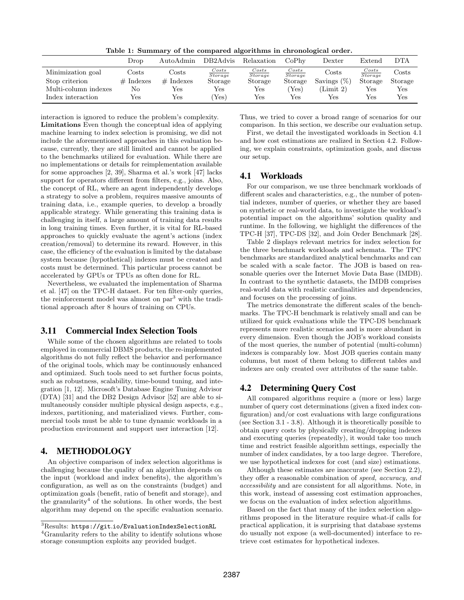Table 1: Summary of the compared algorithms in chronological order.

<span id="page-5-2"></span>

|                      | Drop        | AutoAdmin    | DB2Advis            | Relaxation       | CoPhy            | $_{\rm{Dexter}}$ | Extend                  | DTA          |
|----------------------|-------------|--------------|---------------------|------------------|------------------|------------------|-------------------------|--------------|
| Minimization goal    | Costs       | Costs        | Costs<br>Storage    | Costs<br>Storage | Costs<br>Storage | Costs            | $\frac{Costs}{Storage}$ | $\rm{Costs}$ |
| Stop criterion       | $#$ Indexes | Indexes<br># | Storage             | Storage          | Storage          | Savings $(\%)$   | Storage                 | Storage      |
| Multi-column indexes | No          | Yes          | Yes                 | Yes              | $Y_{\rm es}$     | (Limit 2)        | $\operatorname{Yes}$    | Yes          |
| Index interaction    | Yes         | Yes          | $Y_{\rm \text{es}}$ | Yes              | Yes.             | Yes              | Yes                     | Yes          |

interaction is ignored to reduce the problem's complexity. Limitations Even though the conceptual idea of applying machine learning to index selection is promising, we did not include the aforementioned approaches in this evaluation because, currently, they are still limited and cannot be applied to the benchmarks utilized for evaluation. While there are no implementations or details for reimplementation available for some approaches [\[2,](#page-12-22) [39\]](#page-13-15), Sharma et al.'s work [\[47\]](#page-13-10) lacks support for operators different from filters, e.g., joins. Also, the concept of RL, where an agent independently develops a strategy to solve a problem, requires massive amounts of training data, i.e., example queries, to develop a broadly applicable strategy. While generating this training data is challenging in itself, a large amount of training data results in long training times. Even further, it is vital for RL-based approaches to quickly evaluate the agent's actions (index creation/removal) to determine its reward. However, in this case, the efficiency of the evaluation is limited by the database system because (hypothetical) indexes must be created and costs must be determined. This particular process cannot be accelerated by GPUs or TPUs as often done for RL.

Nevertheless, we evaluated the implementation of Sharma et al. [\[47\]](#page-13-10) on the TPC-H dataset. For ten filter-only queries, the reinforcement model was almost on par<sup>[3](#page-5-3)</sup> with the traditional approach after 8 hours of training on CPUs.

#### <span id="page-5-1"></span>3.11 Commercial Index Selection Tools

While some of the chosen algorithms are related to tools employed in commercial DBMS products, the re-implemented algorithms do not fully reflect the behavior and performance of the original tools, which may be continuously enhanced and optimized. Such tools need to set further focus points, such as robustness, scalability, time-bound tuning, and integration [\[1,](#page-12-12) [12\]](#page-12-14). Microsoft's Database Engine Tuning Advisor (DTA) [\[31\]](#page-13-11) and the DB2 Design Advisor [\[52\]](#page-13-19) are able to simultaneously consider multiple physical design aspects, e.g., indexes, partitioning, and materialized views. Further, commercial tools must be able to tune dynamic workloads in a production environment and support user interaction [\[12\]](#page-12-14).

#### <span id="page-5-0"></span>4. METHODOLOGY

An objective comparison of index selection algorithms is challenging because the quality of an algorithm depends on the input (workload and index benefits), the algorithm's configuration, as well as on the constraints (budget) and optimization goals (benefit, ratio of benefit and storage), and the granularity<sup>[4](#page-5-4)</sup> of the solutions. In other words, the best algorithm may depend on the specific evaluation scenario. Thus, we tried to cover a broad range of scenarios for our comparison. In this section, we describe our evaluation setup.

First, we detail the investigated workloads in Section [4.1](#page-5-5) and how cost estimations are realized in Section [4.2.](#page-5-6) Following, we explain constraints, optimization goals, and discuss our setup.

#### <span id="page-5-5"></span>4.1 Workloads

For our comparison, we use three benchmark workloads of different scales and characteristics, e.g., the number of potential indexes, number of queries, or whether they are based on synthetic or real-world data, to investigate the workload's potential impact on the algorithms' solution quality and runtime. In the following, we highlight the differences of the TPC-H [\[37\]](#page-13-20), TPC-DS [\[32\]](#page-13-21), and Join Order Benchmark [\[28\]](#page-12-9).

Table [2](#page-6-1) displays relevant metrics for index selection for the three benchmark workloads and schemata. The TPC benchmarks are standardized analytical benchmarks and can be scaled with a scale factor. The JOB is based on reasonable queries over the Internet Movie Data Base (IMDB). In contrast to the synthetic datasets, the IMDB comprises real-world data with realistic cardinalities and dependencies, and focuses on the processing of joins.

The metrics demonstrate the different scales of the benchmarks. The TPC-H benchmark is relatively small and can be utilized for quick evaluations while the TPC-DS benchmark represents more realistic scenarios and is more abundant in every dimension. Even though the JOB's workload consists of the most queries, the number of potential (multi-column) indexes is comparably low. Most JOB queries contain many columns, but most of them belong to different tables and indexes are only created over attributes of the same table.

## <span id="page-5-6"></span>4.2 Determining Query Cost

All compared algorithms require a (more or less) large number of query cost determinations (given a fixed index configuration) and/or cost evaluations with large configurations (see Section [3.1](#page-2-1) - [3.8\)](#page-4-0). Although it is theoretically possible to obtain query costs by physically creating/dropping indexes and executing queries (repeatedly), it would take too much time and restrict feasible algorithm settings, especially the number of index candidates, by a too large degree. Therefore, we use hypothetical indexes for cost (and size) estimations.

Although these estimates are inaccurate (see Section [2.2\)](#page-1-1), they offer a reasonable combination of speed, accuracy, and accessibility and are consistent for all algorithms. Note, in this work, instead of assessing cost estimation approaches, we focus on the evaluation of index selection algorithms.

Based on the fact that many of the index selection algorithms proposed in the literature require what-if calls for practical application, it is surprising that database systems do usually not expose (a well-documented) interface to retrieve cost estimates for hypothetical indexes.

<span id="page-5-3"></span><sup>3</sup>Results: https://git.[io/EvaluationIndexSelectionRL](https://git.io/EvaluationIndexSelectionRL)

<span id="page-5-4"></span><sup>&</sup>lt;sup>4</sup>Granularity refers to the ability to identify solutions whose storage consumption exploits any provided budget.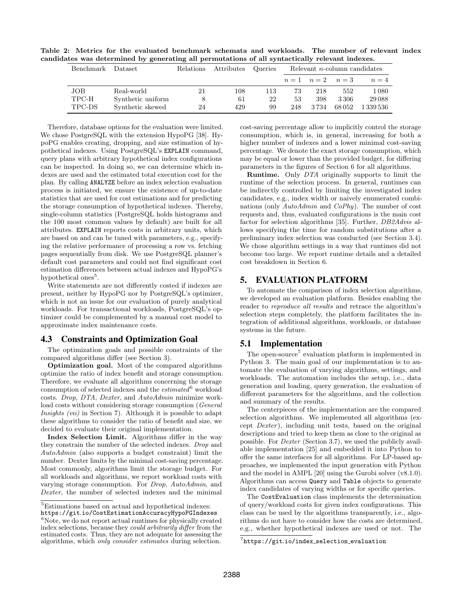<span id="page-6-1"></span>Table 2: Metrics for the evaluated benchmark schemata and workloads. The number of relevant index candidates was determined by generating all permutations of all syntactically relevant indexes.

| Benchmark | Dataset           | Relations | Attributes | Queries | Relevant $n$ -column candidates |                   |       |           |
|-----------|-------------------|-----------|------------|---------|---------------------------------|-------------------|-------|-----------|
|           |                   |           |            |         |                                 | $n=1$ $n=2$ $n=3$ |       | $n=4$     |
| JOB       | Real-world        | 21        | 108        | 113     | 73                              | 218               | 552   | $1\,080$  |
| TPC-H     | Synthetic uniform |           | 61         | 22      | 53                              | 398               | 3306  | 29 0 88   |
| TPC-DS    | Synthetic skewed  | 24        | 429        | 99      | 248                             | 3 7 3 4           | 68052 | 1 339 536 |

Therefore, database options for the evaluation were limited. We chose PostgreSQL with the extension HypoPG [\[38\]](#page-13-22). HypoPG enables creating, dropping, and size estimation of hypothetical indexes. Using PostgreSQL's EXPLAIN command, query plans with arbitrary hypothetical index configurations can be inspected. In doing so, we can determine which indexes are used and the estimated total execution cost for the plan. By calling ANALYZE before an index selection evaluation process is initiated, we ensure the existence of up-to-date statistics that are used for cost estimations and for predicting the storage consumption of hypothetical indexes. Thereby, single-column statistics (PostgreSQL holds histograms and the 100 most common values by default) are built for all attributes. EXPLAIN reports costs in arbitrary units, which are based on and can be tuned with parameters, e.g., specifying the relative performance of processing a row vs. fetching pages sequentially from disk. We use PostgreSQL planner's default cost parameters and could not find significant cost estimation differences between actual indexes and HypoPG's hypothetical ones<sup>[5](#page-6-2)</sup>.

Write statements are not differently costed if indexes are present, neither by HypoPG nor by PostgreSQL's optimizer, which is not an issue for our evaluation of purely analytical workloads. For transactional workloads, PostgreSQL's optimizer could be complemented by a manual cost model to approximate index maintenance costs.

#### 4.3 Constraints and Optimization Goal

The optimization goals and possible constraints of the compared algorithms differ (see Section [3\)](#page-2-0).

Optimization goal. Most of the compared algorithms optimize the ratio of index benefit and storage consumption. Therefore, we evaluate all algorithms concerning the storage consumption of selected indexes and the  $estimated^6$  $estimated^6$  workload costs. Drop, DTA, Dexter, and AutoAdmin minimize workload costs without considering storage consumption (General Insights (vii) in Section [7\)](#page-10-0). Although it is possible to adapt these algorithms to consider the ratio of benefit and size, we decided to evaluate their original implementation.

Index Selection Limit. Algorithms differ in the way they constrain the number of the selected indexes. Drop and AutoAdmin (also supports a budget constraint) limit the number. Dexter limits by the minimal cost-saving percentage. Most commonly, algorithms limit the storage budget. For all workloads and algorithms, we report workload costs with varying storage consumption. For Drop, AutoAdmin, and Dexter, the number of selected indexes and the minimal

cost-saving percentage allow to implicitly control the storage consumption, which is, in general, increasing for both a higher number of indexes and a lower minimal cost-saving percentage. We denote the exact storage consumption, which may be equal or lower than the provided budget, for differing parameters in the figures of Section [6](#page-7-0) for all algorithms.

Runtime. Only DTA originally supports to limit the runtime of the selection process. In general, runtimes can be indirectly controlled by limiting the investigated index candidates, e.g., index width or naively enumerated combinations (only AutoAdmin and CoPhy). The number of cost requests and, thus, evaluated configurations is the main cost factor for selection algorithms [\[35\]](#page-13-7). Further, *DB2Advis* allows specifying the time for random substitutions after a preliminary index selection was conducted (see Section [3.4\)](#page-3-1). We chose algorithm settings in a way that runtimes did not become too large. We report runtime details and a detailed cost breakdown in Section [6.](#page-7-0)

## <span id="page-6-0"></span>5. EVALUATION PLATFORM

To automate the comparison of index selection algorithms, we developed an evaluation platform. Besides enabling the reader to reproduce all results and retrace the algorithm's selection steps completely, the platform facilitates the integration of additional algorithms, workloads, or database systems in the future.

## <span id="page-6-5"></span>5.1 Implementation

The open-source<sup>[7](#page-6-4)</sup> evaluation platform is implemented in Python 3. The main goal of our implementation is to automate the evaluation of varying algorithms, settings, and workloads. The automation includes the setup, i.e., data generation and loading, query generation, the evaluation of different parameters for the algorithms, and the collection and summary of the results.

The centerpieces of the implementation are the compared selection algorithms. We implemented all algorithms (except Dexter), including unit tests, based on the original descriptions and tried to keep them as close to the original as possible. For Dexter (Section [3.7\)](#page-4-5), we used the publicly available implementation [\[25\]](#page-12-24) and embedded it into Python to offer the same interfaces for all algorithms. For LP-based approaches, we implemented the input generation with Python and the model in AMPL [\[20\]](#page-12-26) using the Gurobi solver (v8.1.0). Algorithms can access Query and Table objects to generate index candidates of varying widths or for specific queries.

The CostEvaluation class implements the determination of query/workload costs for given index configurations. This class can be used by the algorithms transparently, i.e., algorithms do not have to consider how the costs are determined, e.g., whether hypothetical indexes are used or not. The

<span id="page-6-2"></span><sup>&</sup>lt;sup>5</sup>Estimations based on actual and hypothetical indexes:

<span id="page-6-3"></span>https://git.[io/CostEstimationAccuracyHypoPGIndexes](https://git.io/CostEstimationAccuracyHypoPGIndexes)  ${}^{6}$ Note, we do not report actual runtimes for physically created index selections, because they could arbitrarily differ from the estimated costs. Thus, they are not adequate for assessing the algorithms, which only consider estimates during selection.

<span id="page-6-4"></span> $^{7}$ [https://git](https://git.io/index_selection_evaluation).io/index\_selection\_evaluation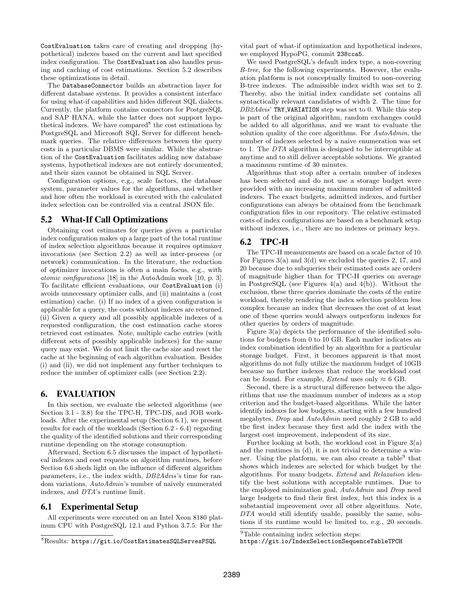CostEvaluation takes care of creating and dropping (hypothetical) indexes based on the current and last specified index configuration. The CostEvaluation also handles pruning and caching of cost estimations. Section [5.2](#page-7-1) describes these optimizations in detail.

The DatabaseConnector builds an abstraction layer for different database systems. It provides a consistent interface for using what-if capabilities and hides different SQL dialects. Currently, the platform contains connectors for PostgreSQL and SAP HANA, while the latter does not support hypo-thetical indexes. We have compared<sup>[8](#page-7-2)</sup> the cost estimations by PostgreSQL and Microsoft SQL Server for different benchmark queries. The relative differences between the query costs in a particular DBMS were similar. While the abstraction of the CostEvaluation facilitates adding new database systems, hypothetical indexes are not entirely documented, and their sizes cannot be obtained in SQL Server.

Configuration options, e.g., scale factors, the database system, parameter values for the algorithms, and whether and how often the workload is executed with the calculated index selection can be controlled via a central JSON file.

## <span id="page-7-1"></span>5.2 What-If Call Optimizations

Obtaining cost estimates for queries given a particular index configuration makes up a large part of the total runtime of index selection algorithms because it requires optimizer invocations (see Section [2.2\)](#page-1-1) as well as inter-process (or network) communication. In the literature, the reduction of optimizer invocations is often a main focus, e.g., with atomic configurations [\[18\]](#page-12-27) in the AutoAdmin work [\[10,](#page-12-4) p. 3]. To facilitate efficient evaluations, our CostEvaluation (i) avoids unnecessary optimizer calls, and (ii) maintains a (cost estimation) cache. (i) If no index of a given configuration is applicable for a query, the costs without indexes are returned. (ii) Given a query and all possibly applicable indexes of a requested configuration, the cost estimation cache stores retrieved cost estimates. Note, multiple cache entries (with different sets of possibly applicable indexes) for the same query may exist. We do not limit the cache size and reset the cache at the beginning of each algorithm evaluation. Besides (i) and (ii), we did not implement any further techniques to reduce the number of optimizer calls (see Section [2.2\)](#page-1-1).

#### <span id="page-7-0"></span>6. EVALUATION

In this section, we evaluate the selected algorithms (see Section [3.1](#page-2-1) - [3.8\)](#page-4-0) for the TPC-H, TPC-DS, and JOB workloads. After the experimental setup (Section [6.1\)](#page-7-3), we present results for each of the workloads (Section [6.2](#page-7-4) - [6.4\)](#page-9-1) regarding the quality of the identified solutions and their corresponding runtime depending on the storage consumption.

Afterward, Section [6.5](#page-9-0) discusses the impact of hypothetical indexes and cost requests on algorithm runtimes, before Section [6.6](#page-10-1) sheds light on the influence of different algorithm parameters, i.e., the index width, DB2Advis's time for random variations, AutoAdmin's number of naively enumerated indexes, and DTA's runtime limit.

## <span id="page-7-3"></span>6.1 Experimental Setup

All experiments were executed on an Intel Xeon 8180 platinum CPU with PostgreSQL 12.1 and Python 3.7.5. For the

vital part of what-if optimization and hypothetical indexes, we employed HypoPG, commit 238cca5.

We used PostgreSQL's default index type, a non-covering B-tree, for the following experiments. However, the evaluation platform is not conceptually limited to non-covering B-tree indexes. The admissible index width was set to 2. Thereby, also the initial index candidate set contains all syntactically relevant candidates of width 2. The time for  $DB2Advis'$  TRY\_VARIATION step was set to 0. While this step is part of the original algorithm, random exchanges could be added to all algorithms, and we want to evaluate the solution quality of the core algorithms. For  $Aut\alpha$ number of indexes selected by a naive enumeration was set to 1. The DTA algorithm is designed to be interruptible at anytime and to still deliver acceptable solutions. We granted a maximum runtime of 30 minutes.

Algorithms that stop after a certain number of indexes has been selected and do not use a storage budget were provided with an increasing maximum number of admitted indexes. The exact budgets, admitted indexes, and further configurations can always be obtained from the benchmark configuration files in our repository. The relative estimated costs of index configurations are based on a benchmark setup without indexes, i.e., there are no indexes or primary keys.

## <span id="page-7-4"></span>6.2 TPC-H

The TPC-H measurements are based on a scale factor of 10. For Figures [3\(a\)](#page-8-0) and [3\(d\)](#page-8-1) we excluded the queries 2, 17, and 20 because due to subqueries their estimated costs are orders of magnitude higher than for TPC-H queries on average in PostgreSQL (see Figures  $4(a)$  and  $4(b)$ ). Without the exclusion, these three queries dominate the costs of the entire workload, thereby rendering the index selection problem less complex because an index that decreases the cost of at least one of these queries would always outperform indexes for other queries by orders of magnitude.

Figure [3\(a\)](#page-8-0) depicts the performance of the identified solutions for budgets from 0 to 10 GB. Each marker indicates an index combination identified by an algorithm for a particular storage budget. First, it becomes apparent is that most algorithms do not fully utilize the maximum budget of 10GB because no further indexes that reduce the workload cost can be found. For example, *Extend* uses only  $\approx 6$  GB.

Second, there is a structural difference between the algorithms that use the maximum number of indexes as a stop criterion and the budget-based algorithms. While the latter identify indexes for low budgets, starting with a few hundred megabytes, Drop and AutoAdmin need roughly 2 GB to add the first index because they first add the index with the largest cost improvement, independent of its size.

Further looking at both, the workload cost in Figure [3\(a\)](#page-8-0) and the runtimes in [\(d\),](#page-8-1) it is not trivial to determine a win-ner. Using the platform, we can also create a table<sup>[9](#page-7-5)</sup> that shows which indexes are selected for which budget by the algorithms. For many budgets, Extend and Relaxation identify the best solutions with acceptable runtimes. Due to the employed minimization goal, AutoAdmin and Drop need large budgets to find their first index, but this index is a substantial improvement over all other algorithms. Note, DTA would still identify usable, possibly the same, solutions if its runtime would be limited to, e.g., 20 seconds.

<span id="page-7-2"></span><sup>8</sup>Results: https://git.[io/CostEstimatesSQLServesPSQL](https://git.io/CostEstimatesSQLServesPSQL)

<span id="page-7-5"></span><sup>9</sup>Table containing index selection steps:

https://git.[io/IndexSelectionSequenceTableTPCH](https://git.io/IndexSelectionSequenceTableTPCH)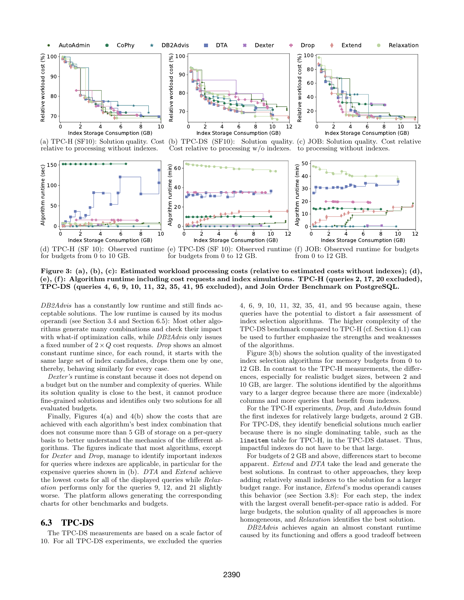<span id="page-8-0"></span>

(a) TPC-H (SF10): Solution quality. Cost relative to processing without indexes.



<span id="page-8-2"></span>Index Storage Consumption (GB) (b)  $TPC-DS$  (SF10):

<span id="page-8-3"></span>

<span id="page-8-4"></span>Cost relative to processing w/o indexes. to processing without indexes. Solution quality. (c) JOB: Solution quality. Cost relative

<span id="page-8-1"></span>

(d) TPC-H (SF 10): Observed runtime for budgets from 0 to 10 GB. (e) TPC-DS (SF 10): Observed runtime for budgets from 0 to 12 GB. (f) JOB: Observed runtime for budgets from 0 to 12 GB.

Figure 3: [\(a\),](#page-8-0) [\(b\),](#page-8-2) [\(c\):](#page-8-3) Estimated workload processing costs (relative to estimated costs without indexes); [\(d\),](#page-8-1) [\(e\),](#page-8-4) [\(f\):](#page-8-5) Algorithm runtime including cost requests and index simulations. TPC-H (queries 2, 17, 20 excluded), TPC-DS (queries 4, 6, 9, 10, 11, 32, 35, 41, 95 excluded), and Join Order Benchmark on PostgreSQL.

DB<sub>2</sub>Advis has a constantly low runtime and still finds acceptable solutions. The low runtime is caused by its modus operandi (see Section [3.4](#page-3-1) and Section [6.5\)](#page-9-0): Most other algorithms generate many combinations and check their impact with what-if optimization calls, while DB2Advis only issues a fixed number of  $2 \times Q$  cost requests. Drop shows an almost constant runtime since, for each round, it starts with the same large set of index candidates, drops them one by one, thereby, behaving similarly for every case.

Dexter's runtime is constant because it does not depend on a budget but on the number and complexity of queries. While its solution quality is close to the best, it cannot produce fine-grained solutions and identifies only two solutions for all evaluated budgets.

Finally, Figures  $4(a)$  and  $4(b)$  show the costs that are achieved with each algorithm's best index combination that does not consume more than 5 GB of storage on a per-query basis to better understand the mechanics of the different algorithms. The figures indicate that most algorithms, except for Dexter and Drop, manage to identify important indexes for queries where indexes are applicable, in particular for the expensive queries shown in [\(b\).](#page-9-3) DTA and Extend achieve the lowest costs for all of the displayed queries while Relaxation performs only for the queries 9, 12, and 21 slightly worse. The platform allows generating the corresponding charts for other benchmarks and budgets.

#### <span id="page-8-6"></span>6.3 TPC-DS

The TPC-DS measurements are based on a scale factor of 10. For all TPC-DS experiments, we excluded the queries

<span id="page-8-5"></span>4, 6, 9, 10, 11, 32, 35, 41, and 95 because again, these queries have the potential to distort a fair assessment of index selection algorithms. The higher complexity of the TPC-DS benchmark compared to TPC-H (cf. Section [4.1\)](#page-5-5) can be used to further emphasize the strengths and weaknesses of the algorithms.

Figure [3\(b\)](#page-8-2) shows the solution quality of the investigated index selection algorithms for memory budgets from 0 to 12 GB. In contrast to the TPC-H measurements, the differences, especially for realistic budget sizes, between 2 and 10 GB, are larger. The solutions identified by the algorithms vary to a larger degree because there are more (indexable) columns and more queries that benefit from indexes.

For the TPC-H experiments, Drop, and AutoAdmin found the first indexes for relatively large budgets, around 2 GB. For TPC-DS, they identify beneficial solutions much earlier because there is no single dominating table, such as the lineitem table for TPC-H, in the TPC-DS dataset. Thus, impactful indexes do not have to be that large.

For budgets of 2 GB and above, differences start to become apparent. Extend and DTA take the lead and generate the best solutions. In contrast to other approaches, they keep adding relatively small indexes to the solution for a larger budget range. For instance, Extend's modus operandi causes this behavior (see Section [3.8\)](#page-4-0): For each step, the index with the largest overall benefit-per-space ratio is added. For large budgets, the solution quality of all approaches is more homogeneous, and Relaxation identifies the best solution.

DB2Advis achieves again an almost constant runtime caused by its functioning and offers a good tradeoff between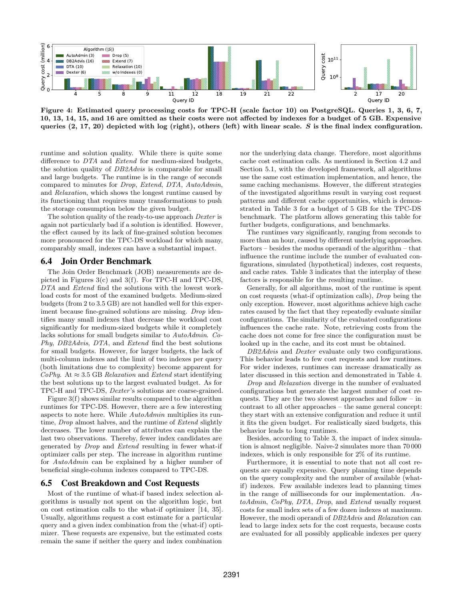<span id="page-9-2"></span>

Figure 4: Estimated query processing costs for TPC-H (scale factor 10) on PostgreSQL. Queries 1, 3, 6, 7, 10, 13, 14, 15, and 16 are omitted as their costs were not affected by indexes for a budget of 5 GB. Expensive queries  $(2, 17, 20)$  depicted with log (right), others (left) with linear scale. S is the final index configuration.

runtime and solution quality. While there is quite some difference to DTA and Extend for medium-sized budgets, the solution quality of DB2Advis is comparable for small and large budgets. The runtime is in the range of seconds compared to minutes for Drop, Extend, DTA, AutoAdmin, and Relaxation, which shows the longest runtime caused by its functioning that requires many transformations to push the storage consumption below the given budget.

The solution quality of the ready-to-use approach Dexter is again not particularly bad if a solution is identified. However, the effect caused by its lack of fine-grained solution becomes more pronounced for the TPC-DS workload for which many, comparably small, indexes can have a substantial impact.

#### <span id="page-9-1"></span>6.4 Join Order Benchmark

The Join Order Benchmark (JOB) measurements are depicted in Figures [3\(c\)](#page-8-3) and [3\(f\).](#page-8-5) For TPC-H and TPC-DS, DTA and Extend find the solutions with the lowest workload costs for most of the examined budgets. Medium-sized budgets (from 2 to 3.5 GB) are not handled well for this experiment because fine-grained solutions are missing. Drop identifies many small indexes that decrease the workload cost significantly for medium-sized budgets while it completely lacks solutions for small budgets similar to AutoAdmin. Co-Phy, DB2Advis, DTA, and Extend find the best solutions for small budgets. However, for larger budgets, the lack of multi-column indexes and the limit of two indexes per query (both limitations due to complexity) become apparent for  $CoPhy$ . At  $\approx 3.5$  GB *Relaxation* and *Extend* start identifying the best solutions up to the largest evaluated budget. As for TPC-H and TPC-DS, Dexter 's solutions are coarse-grained.

Figure [3\(f\)](#page-8-5) shows similar results compared to the algorithm runtimes for TPC-DS. However, there are a few interesting aspects to note here. While AutoAdmin multiplies its runtime, *Drop* almost halves, and the runtime of *Extend* slightly decreases. The lower number of attributes can explain the last two observations. Thereby, fewer index candidates are generated by Drop and Extend resulting in fewer what-if optimizer calls per step. The increase in algorithm runtime for AutoAdmin can be explained by a higher number of beneficial single-column indexes compared to TPC-DS.

## <span id="page-9-0"></span>6.5 Cost Breakdown and Cost Requests

Most of the runtime of what-if based index selection algorithms is usually not spent on the algorithm logic, but on cost estimation calls to the what-if optimizer [\[14,](#page-12-5) [35\]](#page-13-7). Usually, algorithms request a cost estimate for a particular query and a given index combination from the (what-if) optimizer. These requests are expensive, but the estimated costs remain the same if neither the query and index combination

<span id="page-9-3"></span>nor the underlying data change. Therefore, most algorithms cache cost estimation calls. As mentioned in Section [4.2](#page-5-6) and Section [5.1,](#page-6-5) with the developed framework, all algorithms use the same cost estimation implementation, and hence, the same caching mechanisms. However, the different strategies of the investigated algorithms result in varying cost request patterns and different cache opportunities, which is demonstrated in Table [3](#page-10-2) for a budget of 5 GB for the TPC-DS benchmark. The platform allows generating this table for further budgets, configurations, and benchmarks.

The runtimes vary significantly, ranging from seconds to more than an hour, caused by different underlying approaches. Factors – besides the modus operandi of the algorithm – that influence the runtime include the number of evaluated configurations, simulated (hypothetical) indexes, cost requests, and cache rates. Table [3](#page-10-2) indicates that the interplay of these factors is responsible for the resulting runtime.

Generally, for all algorithms, most of the runtime is spent on cost requests (what-if optimization calls), Drop being the only exception. However, most algorithms achieve high cache rates caused by the fact that they repeatedly evaluate similar configurations. The similarity of the evaluated configurations influences the cache rate. Note, retrieving costs from the cache does not come for free since the configuration must be looked up in the cache, and its cost must be obtained.

DB<sub>2</sub>Advis and Dexter evaluate only two configurations. This behavior leads to few cost requests and low runtimes. For wider indexes, runtimes can increase dramatically as later discussed in this section and demonstrated in Table [4.](#page-10-3)

Drop and Relaxation diverge in the number of evaluated configurations but generate the largest number of cost requests. They are the two slowest approaches and follow – in contrast to all other approaches – the same general concept: they start with an extensive configuration and reduce it until it fits the given budget. For realistically sized budgets, this behavior leads to long runtimes.

Besides, according to Table [3,](#page-10-2) the impact of index simulation is almost negligible. Naive-2 simulates more than 70 000 indexes, which is only responsible for 2% of its runtime.

Furthermore, it is essential to note that not all cost requests are equally expensive. Query planning time depends on the query complexity and the number of available (whatif) indexes. Few available indexes lead to planning times in the range of milliseconds for our implementation. AutoAdmin, CoPhy, DTA, Drop, and Extend usually request costs for small index sets of a few dozen indexes at maximum. However, the modi operandi of DB2Advis and Relaxation can lead to large index sets for the cost requests, because costs are evaluated for all possibly applicable indexes per query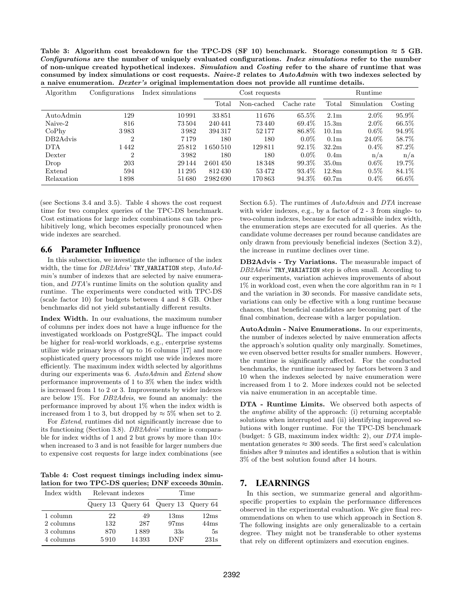<span id="page-10-2"></span>Table 3: Algorithm cost breakdown for the TPC-DS (SF 10) benchmark. Storage consumption  $\approx 5$  GB. Configurations are the number of uniquely evaluated configurations. Index simulations refer to the number of non-unique created hypothetical indexes. Simulation and Costing refer to the share of runtime that was consumed by index simulations or cost requests. Naive-2 relates to AutoAdmin with two indexes selected by a naive enumeration. Dexter's original implementation does not provide all runtime details.

| Algorithm                         | Configurations | Index simulations | Cost requests |            |            |                   | Runtime    |          |  |
|-----------------------------------|----------------|-------------------|---------------|------------|------------|-------------------|------------|----------|--|
|                                   |                |                   | Total         | Non-cached | Cache rate | Total             | Simulation | Costing  |  |
| AutoAdmin                         | 129            | 10991             | 33851         | 11676      | $65.5\%$   | 2.1 <sub>m</sub>  | $2.0\%$    | 95.9%    |  |
| Naive-2                           | 816            | 73504             | 240441        | 73 440     | 69.4\%     | 15.3 <sub>m</sub> | $2.0\%$    | 66.5%    |  |
| CoPhv                             | 3983           | 3982              | 394317        | 52177      | 86.8%      | 10.1 <sub>m</sub> | $0.6\%$    | 94.9%    |  |
| DB <sub>2</sub> A <sub>dvis</sub> | 2              | 7 1 7 9           | 180           | 180        | $0.0\%$    | 0.1 <sub>m</sub>  | 24.0%      | 58.7%    |  |
| <b>DTA</b>                        | 1442           | 25812             | 1650510       | 129811     | 92.1\%     | 32.2 <sub>m</sub> | $0.4\%$    | 87.2%    |  |
| Dexter                            | 2              | 3982              | 180           | 180        | $0.0\%$    | 0.4 <sub>m</sub>  | n/a        | n/a      |  |
| Drop                              | 203            | 29 144            | 2601450       | 18348      | 99.3%      | 35.0 <sub>m</sub> | $0.6\%$    | 19.7%    |  |
| Extend                            | 594            | 11 295            | 812430        | 53472      | 93.4\%     | 12.8 <sub>m</sub> | $0.5\%$    | 84.1\%   |  |
| Relaxation                        | 1 898          | 51680             | 2982690       | 170863     | 94.3%      | 60.7 <sub>m</sub> | $0.4\%$    | $66.6\%$ |  |

(see Sections [3.4](#page-3-1) and [3.5\)](#page-3-2). Table [4](#page-10-3) shows the cost request time for two complex queries of the TPC-DS benchmark. Cost estimations for large index combinations can take prohibitively long, which becomes especially pronounced when wide indexes are searched.

#### <span id="page-10-1"></span>6.6 Parameter Influence

In this subsection, we investigate the influence of the index width, the time for  $DB2Advis'$  TRY\_VARIATION step,  $AutoAd$ min's number of indexes that are selected by naive enumeration, and DTA's runtime limits on the solution quality and runtime. The experiments were conducted with TPC-DS (scale factor 10) for budgets between 4 and 8 GB. Other benchmarks did not yield substantially different results.

Index Width. In our evaluations, the maximum number of columns per index does not have a huge influence for the investigated workloads on PostgreSQL. The impact could be higher for real-world workloads, e.g., enterprise systems utilize wide primary keys of up to 16 columns [\[17\]](#page-12-28) and more sophisticated query processors might use wide indexes more efficiently. The maximum index width selected by algorithms during our experiments was 6. AutoAdmin and Extend show performance improvements of 1 to 3% when the index width is increased from 1 to 2 or 3. Improvements by wider indexes are below 1%. For DB2Advis, we found an anomaly: the performance improved by about 1% when the index width is increased from 1 to 3, but dropped by  $\approx 5\%$  when set to 2.

For Extend, runtimes did not significantly increase due to its functioning (Section [3.8\)](#page-4-0). DB2Advis' runtime is comparable for index widths of 1 and 2 but grows by more than  $10\times$ when increased to 3 and is not feasible for larger numbers due to expensive cost requests for large index combinations (see

<span id="page-10-3"></span>Table 4: Cost request timings including index simulation for two TPC-DS queries; DNF exceeds 30min.

| Index width | Relevant indexes |                                     | Time |                  |  |  |
|-------------|------------------|-------------------------------------|------|------------------|--|--|
|             |                  | Query 13 Query 64 Query 13 Query 64 |      |                  |  |  |
| 1 column    | 22               | 49                                  | 13ms | 12ms             |  |  |
| 2 columns   | 132              | 287                                 | 97ms | 44 <sub>ms</sub> |  |  |
| 3 columns   | 870              | 1889                                | 33s  | 5s               |  |  |
| 4 columns   | 5910             | 14 3 9 3                            | DNF  | 231s             |  |  |

Section [6.5\)](#page-9-0). The runtimes of  $Aut\alpha\Lambda dmin$  and DTA increase with wider indexes, e.g., by a factor of 2 - 3 from single- to two-column indexes, because for each admissible index width, the enumeration steps are executed for all queries. As the candidate volume decreases per round because candidates are only drawn from previously beneficial indexes (Section [3.2\)](#page-2-2), the increase in runtime declines over time.

DB2Advis - Try Variations. The measurable impact of DB2Advis' TRY\_VARIATION step is often small. According to our experiments, variation achieves improvements of about 1% in workload cost, even when the core algorithm ran in  $\approx 1$ and the variation in 30 seconds. For massive candidate sets, variations can only be effective with a long runtime because chances, that beneficial candidates are becoming part of the final combination, decrease with a larger population.

AutoAdmin - Naive Enumerations. In our experiments, the number of indexes selected by naive enumeration affects the approach's solution quality only marginally. Sometimes, we even observed better results for smaller numbers. However, the runtime is significantly affected. For the conducted benchmarks, the runtime increased by factors between 3 and 10 when the indexes selected by naive enumeration were increased from 1 to 2. More indexes could not be selected via naive enumeration in an acceptable time.

DTA - Runtime Limits. We observed both aspects of the anytime ability of the approach: (i) returning acceptable solutions when interrupted and (ii) identifying improved solutions with longer runtime. For the TPC-DS benchmark (budget: 5 GB, maximum index width: 2), our DTA implementation generates  $\approx 300$  seeds. The first seed's calculation finishes after 9 minutes and identifies a solution that is within 3% of the best solution found after 14 hours.

## <span id="page-10-0"></span>7. LEARNINGS

In this section, we summarize general and algorithmspecific properties to explain the performance differences observed in the experimental evaluation. We give final recommendations on when to use which approach in Section [8.](#page-11-0) The following insights are only generalizable to a certain degree. They might not be transferable to other systems that rely on different optimizers and execution engines.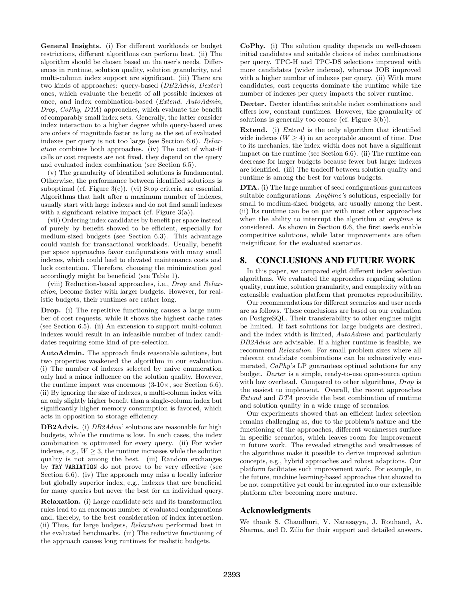General Insights. (i) For different workloads or budget restrictions, different algorithms can perform best. (ii) The algorithm should be chosen based on the user's needs. Differences in runtime, solution quality, solution granularity, and multi-column index support are significant. (iii) There are two kinds of approaches: query-based (DB2Advis, Dexter) ones, which evaluate the benefit of all possible indexes at once, and index combination-based (Extend, AutoAdmin, Drop, CoPhy, DTA) approaches, which evaluate the benefit of comparably small index sets. Generally, the latter consider index interaction to a higher degree while query-based ones are orders of magnitude faster as long as the set of evaluated indexes per query is not too large (see Section [6.6\)](#page-10-1). Relaxation combines both approaches. (iv) The cost of what-if calls or cost requests are not fixed, they depend on the query and evaluated index combination (see Section [6.5\)](#page-9-0).

(v) The granularity of identified solutions is fundamental. Otherwise, the performance between identified solutions is suboptimal (cf. Figure [3\(c\)\)](#page-8-3). (vi) Stop criteria are essential. Algorithms that halt after a maximum number of indexes, usually start with large indexes and do not find small indexes with a significant relative impact (cf. Figure  $3(a)$ ).

(vii) Ordering index candidates by benefit per space instead of purely by benefit showed to be efficient, especially for medium-sized budgets (see Section [6.3\)](#page-8-6). This advantage could vanish for transactional workloads. Usually, benefit per space approaches favor configurations with many small indexes, which could lead to elevated maintenance costs and lock contention. Therefore, choosing the minimization goal accordingly might be beneficial (see Table [1\)](#page-5-2).

(viii) Reduction-based approaches, i.e., *Drop* and Relaxation, become faster with larger budgets. However, for realistic budgets, their runtimes are rather long.

Drop. (i) The repetitive functioning causes a large number of cost requests, while it shows the highest cache rates (see Section [6.5\)](#page-9-0). (ii) An extension to support multi-column indexes would result in an infeasible number of index candidates requiring some kind of pre-selection.

AutoAdmin. The approach finds reasonable solutions, but two properties weakened the algorithm in our evaluation. (i) The number of indexes selected by naive enumeration only had a minor influence on the solution quality. However, the runtime impact was enormous  $(3-10\times, \text{see Section 6.6}).$ (ii) By ignoring the size of indexes, a multi-column index with an only slightly higher benefit than a single-column index but significantly higher memory consumption is favored, which acts in opposition to storage efficiency.

DB2Advis. (i) DB2Advis' solutions are reasonable for high budgets, while the runtime is low. In such cases, the index combination is optimized for every query. (ii) For wider indexes, e.g.,  $W \geq 3$ , the runtime increases while the solution quality is not among the best. (iii) Random exchanges by TRY VARIATION do not prove to be very effective (see Section [6.6\)](#page-10-1). (iv) The approach may miss a locally inferior but globally superior index, e.g., indexes that are beneficial for many queries but never the best for an individual query.

Relaxation. (i) Large candidate sets and its transformation rules lead to an enormous number of evaluated configurations and, thereby, to the best consideration of index interaction. (ii) Thus, for large budgets, Relaxation performed best in the evaluated benchmarks. (iii) The reductive functioning of the approach causes long runtimes for realistic budgets.

CoPhy. (i) The solution quality depends on well-chosen initial candidates and suitable choices of index combinations per query. TPC-H and TPC-DS selections improved with more candidates (wider indexes), whereas JOB improved with a higher number of indexes per query. (ii) With more candidates, cost requests dominate the runtime while the number of indexes per query impacts the solver runtime.

Dexter. Dexter identifies suitable index combinations and offers low, constant runtimes. However, the granularity of solutions is generally too coarse (cf. Figure [3\(b\)\)](#page-8-2).

Extend. (i) *Extend* is the only algorithm that identified wide indexes  $(W \geq 4)$  in an acceptable amount of time. Due to its mechanics, the index width does not have a significant impact on the runtime (see Section [6.6\)](#page-10-1). (ii) The runtime can decrease for larger budgets because fewer but larger indexes are identified. (iii) The tradeoff between solution quality and runtime is among the best for various budgets.

DTA. (i) The large number of seed configurations guarantees suitable configurations: *Anytime's* solutions, especially for small to medium-sized budgets, are usually among the best. (ii) Its runtime can be on par with most other approaches when the ability to interrupt the algorithm at *anytime* is considered. As shown in Section [6.6,](#page-10-1) the first seeds enable competitive solutions, while later improvements are often insignificant for the evaluated scenarios.

## <span id="page-11-0"></span>8. CONCLUSIONS AND FUTURE WORK

In this paper, we compared eight different index selection algorithms. We evaluated the approaches regarding solution quality, runtime, solution granularity, and complexity with an extensible evaluation platform that promotes reproducibility.

Our recommendations for different scenarios and user needs are as follows. These conclusions are based on our evaluation on PostgreSQL. Their transferability to other engines might be limited. If fast solutions for large budgets are desired, and the index width is limited, AutoAdmin and particularly DB2Advis are advisable. If a higher runtime is feasible, we recommend Relaxation. For small problem sizes where all relevant candidate combinations can be exhaustively enumerated, CoPhy's LP guarantees optimal solutions for any budget. Dexter is a simple, ready-to-use open-source option with low overhead. Compared to other algorithms, *Drop* is the easiest to implement. Overall, the recent approaches Extend and DTA provide the best combination of runtime and solution quality in a wide range of scenarios.

Our experiments showed that an efficient index selection remains challenging as, due to the problem's nature and the functioning of the approaches, different weaknesses surface in specific scenarios, which leaves room for improvement in future work. The revealed strengths and weaknesses of the algorithms make it possible to derive improved solution concepts, e.g., hybrid approaches and robust adaptions. Our platform facilitates such improvement work. For example, in the future, machine learning-based approaches that showed to be not competitive yet could be integrated into our extensible platform after becoming more mature.

## Acknowledgments

We thank S. Chaudhuri, V. Narasayya, J. Rouhaud, A. Sharma, and D. Zilio for their support and detailed answers.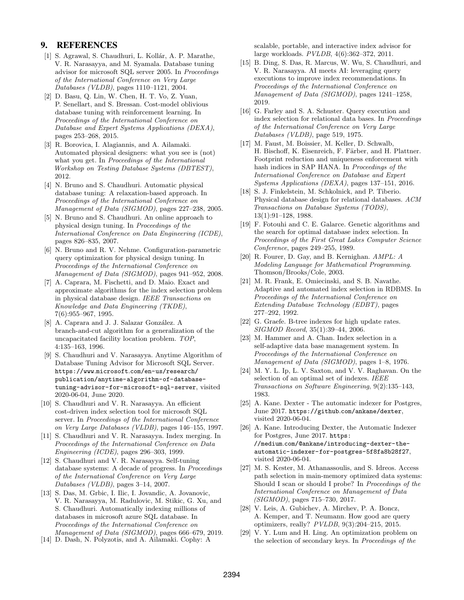#### 9. REFERENCES

- <span id="page-12-12"></span>[1] S. Agrawal, S. Chaudhuri, L. Kollár, A. P. Marathe, V. R. Narasayya, and M. Syamala. Database tuning advisor for microsoft SQL server 2005. In Proceedings of the International Conference on Very Large Databases (VLDB), pages 1110–1121, 2004.
- <span id="page-12-22"></span>[2] D. Basu, Q. Lin, W. Chen, H. T. Vo, Z. Yuan, P. Senellart, and S. Bressan. Cost-model oblivious database tuning with reinforcement learning. In Proceedings of the International Conference on Database and Expert Systems Applications (DEXA), pages 253–268, 2015.
- <span id="page-12-10"></span>[3] R. Borovica, I. Alagiannis, and A. Ailamaki. Automated physical designers: what you see is (not) what you get. In *Proceedings of the International* Workshop on Testing Database Systems (DBTEST), 2012.
- <span id="page-12-2"></span>[4] N. Bruno and S. Chaudhuri. Automatic physical database tuning: A relaxation-based approach. In Proceedings of the International Conference on Management of Data (SIGMOD), pages 227–238, 2005.
- <span id="page-12-21"></span>[5] N. Bruno and S. Chaudhuri. An online approach to physical design tuning. In Proceedings of the International Conference on Data Engineering (ICDE), pages 826–835, 2007.
- <span id="page-12-8"></span>[6] N. Bruno and R. V. Nehme. Configuration-parametric query optimization for physical design tuning. In Proceedings of the International Conference on Management of Data (SIGMOD), pages 941–952, 2008.
- <span id="page-12-23"></span>[7] A. Caprara, M. Fischetti, and D. Maio. Exact and approximate algorithms for the index selection problem in physical database design. IEEE Transactions on Knowledge and Data Engineering (TKDE), 7(6):955–967, 1995.
- <span id="page-12-20"></span>[8] A. Caprara and J. J. Salazar González. A branch-and-cut algorithm for a generalization of the uncapacitated facility location problem. TOP, 4:135–163, 1996.
- <span id="page-12-3"></span>[9] S. Chaudhuri and V. Narasayya. Anytime Algorithm of Database Tuning Advisor for Microsoft SQL Server. https://www.microsoft.[com/en-us/research/](https://www.microsoft.com/en-us/research/publication/anytime-algorithm-of-database-tuning-advisor-for-microsoft-sql-server) [publication/anytime-algorithm-of-database](https://www.microsoft.com/en-us/research/publication/anytime-algorithm-of-database-tuning-advisor-for-microsoft-sql-server)[tuning-advisor-for-microsoft-sql-server](https://www.microsoft.com/en-us/research/publication/anytime-algorithm-of-database-tuning-advisor-for-microsoft-sql-server), visited 2020-06-04, June 2020.
- <span id="page-12-4"></span>[10] S. Chaudhuri and V. R. Narasayya. An efficient cost-driven index selection tool for microsoft SQL server. In Proceedings of the International Conference on Very Large Databases (VLDB), pages 146–155, 1997.
- <span id="page-12-13"></span>[11] S. Chaudhuri and V. R. Narasayya. Index merging. In Proceedings of the International Conference on Data Engineering (ICDE), pages 296–303, 1999.
- <span id="page-12-14"></span>[12] S. Chaudhuri and V. R. Narasayya. Self-tuning database systems: A decade of progress. In Proceedings of the International Conference on Very Large Databases (VLDB), pages 3–14, 2007.
- <span id="page-12-11"></span>[13] S. Das, M. Grbic, I. Ilic, I. Jovandic, A. Jovanovic, V. R. Narasayya, M. Radulovic, M. Stikic, G. Xu, and S. Chaudhuri. Automatically indexing millions of databases in microsoft azure SQL database. In Proceedings of the International Conference on Management of Data (SIGMOD), pages 666–679, 2019.
- <span id="page-12-5"></span>[14] D. Dash, N. Polyzotis, and A. Ailamaki. Cophy: A

scalable, portable, and interactive index advisor for large workloads. PVLDB, 4(6):362–372, 2011.

- <span id="page-12-0"></span>[15] B. Ding, S. Das, R. Marcus, W. Wu, S. Chaudhuri, and V. R. Narasayya. AI meets AI: leveraging query executions to improve index recommendations. In Proceedings of the International Conference on Management of Data (SIGMOD), pages 1241–1258, 2019.
- <span id="page-12-15"></span>[16] G. Farley and S. A. Schuster. Query execution and index selection for relational data bases. In Proceedings of the International Conference on Very Large Databases (VLDB), page 519, 1975.
- <span id="page-12-28"></span>[17] M. Faust, M. Boissier, M. Keller, D. Schwalb, H. Bischoff, K. Eisenreich, F. Färber, and H. Plattner. Footprint reduction and uniqueness enforcement with hash indices in SAP HANA. In Proceedings of the International Conference on Database and Expert Systems Applications (DEXA), pages 137–151, 2016.
- <span id="page-12-27"></span>[18] S. J. Finkelstein, M. Schkolnick, and P. Tiberio. Physical database design for relational databases. ACM Transactions on Database Systems (TODS), 13(1):91–128, 1988.
- <span id="page-12-18"></span>[19] F. Fotouhi and C. E. Galarce. Genetic algorithms and the search for optimal database index selection. In Proceedings of the First Great Lakes Computer Science Conference, pages 249–255, 1989.
- <span id="page-12-26"></span>[20] R. Fourer, D. Gay, and B. Kernighan. AMPL: A Modeling Language for Mathematical Programming. Thomson/Brooks/Cole, 2003.
- <span id="page-12-19"></span>[21] M. R. Frank, E. Omiecinski, and S. B. Navathe. Adaptive and automated index selection in RDBMS. In Proceedings of the International Conference on Extending Database Technology (EDBT), pages 277–292, 1992.
- <span id="page-12-7"></span>[22] G. Graefe. B-tree indexes for high update rates. SIGMOD Record, 35(1):39–44, 2006.
- <span id="page-12-16"></span>[23] M. Hammer and A. Chan. Index selection in a self-adaptive data base management system. In Proceedings of the International Conference on Management of Data (SIGMOD), pages 1–8, 1976.
- <span id="page-12-17"></span>[24] M. Y. L. Ip, L. V. Saxton, and V. V. Raghavan. On the selection of an optimal set of indexes. IEEE Transactions on Software Engineering, 9(2):135–143, 1983.
- <span id="page-12-24"></span>[25] A. Kane. Dexter - The automatic indexer for Postgres, June 2017. https://github.[com/ankane/dexter](https://github.com/ankane/dexter), visited 2020-06-04.
- <span id="page-12-6"></span>[26] A. Kane. Introducing Dexter, the Automatic Indexer for Postgres, June 2017. [https:](https://medium.com/@ankane/introducing-dexter-the-automatic-indexer-for-postgres-5f8fa8b28f27) //medium.[com/@ankane/introducing-dexter-the](https://medium.com/@ankane/introducing-dexter-the-automatic-indexer-for-postgres-5f8fa8b28f27)[automatic-indexer-for-postgres-5f8fa8b28f27](https://medium.com/@ankane/introducing-dexter-the-automatic-indexer-for-postgres-5f8fa8b28f27), visited 2020-06-04.
- <span id="page-12-25"></span>[27] M. S. Kester, M. Athanassoulis, and S. Idreos. Access path selection in main-memory optimized data systems: Should I scan or should I probe? In Proceedings of the International Conference on Management of Data (SIGMOD), pages 715–730, 2017.
- <span id="page-12-9"></span>[28] V. Leis, A. Gubichev, A. Mirchev, P. A. Boncz, A. Kemper, and T. Neumann. How good are query optimizers, really? PVLDB, 9(3):204–215, 2015.
- <span id="page-12-1"></span>[29] V. Y. Lum and H. Ling. An optimization problem on the selection of secondary keys. In Proceedings of the